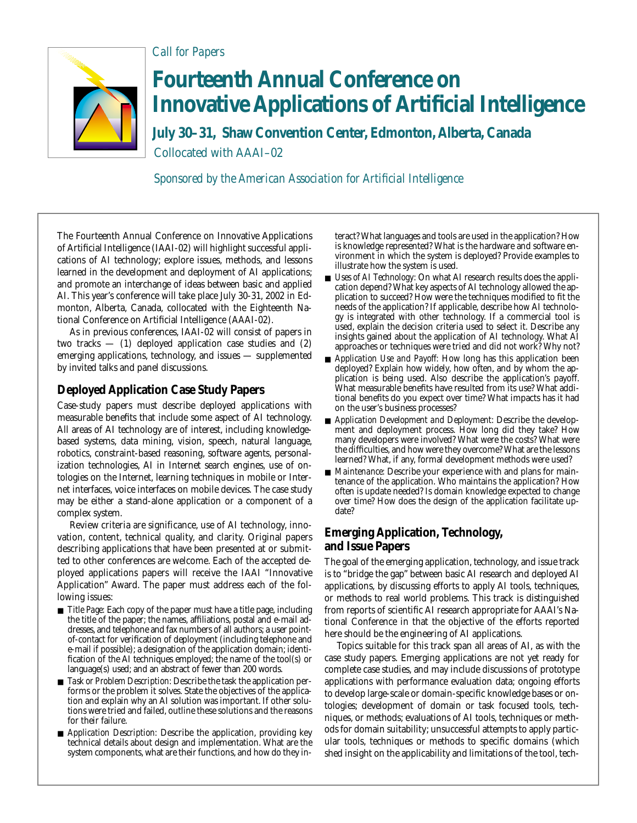

## **Fourteenth Annual Conference on Innovative Applications of Artificial Intelligence**

**July 30–31, Shaw Convention Center, Edmonton, Alberta, Canada** Collocated with AAAI–02

*Sponsored by the American Association for Artificial Intelligence*

The Fourteenth Annual Conference on Innovative Applications of Artificial Intelligence (IAAI-02) will highlight successful applications of AI technology; explore issues, methods, and lessons learned in the development and deployment of AI applications; and promote an interchange of ideas between basic and applied AI. This year's conference will take place July 30-31, 2002 in Edmonton, Alberta, Canada, collocated with the Eighteenth National Conference on Artificial Intelligence (AAAI-02).

*Call for Papers*

As in previous conferences, IAAI-02 will consist of papers in two tracks  $-$  (1) deployed application case studies and (2) emerging applications, technology, and issues — supplemented by invited talks and panel discussions.

## **Deployed Application Case Study Papers**

Case-study papers must describe deployed applications with measurable benefits that include some aspect of AI technology. All areas of AI technology are of interest, including knowledgebased systems, data mining, vision, speech, natural language, robotics, constraint-based reasoning, software agents, personalization technologies, AI in Internet search engines, use of ontologies on the Internet, learning techniques in mobile or Internet interfaces, voice interfaces on mobile devices. The case study may be either a stand-alone application or a component of a complex system.

Review criteria are significance, use of AI technology, innovation, content, technical quality, and clarity. Original papers describing applications that have been presented at or submitted to other conferences are welcome. Each of the accepted deployed applications papers will receive the IAAI "Innovative Application" Award. The paper must address each of the following issues:

- *Title Page:* Each copy of the paper must have a title page, including the title of the paper; the names, affiliations, postal and e-mail addresses, and telephone and fax numbers of all authors; a user pointof-contact for verification of deployment (including telephone and e-mail if possible); a designation of the application domain; identification of the AI techniques employed; the name of the tool(s) or language(s) used; and an abstract of fewer than 200 words.
- *Task or Problem Description:* Describe the task the application performs or the problem it solves. State the objectives of the application and explain why an AI solution was important. If other solutions were tried and failed, outline these solutions and the reasons for their failure.
- *Application Description:* Describe the application, providing key technical details about design and implementation. What are the system components, what are their functions, and how do they in-

teract? What languages and tools are used in the application? How is knowledge represented? What is the hardware and software environment in which the system is deployed? Provide examples to illustrate how the system is used.

- *Uses of AI Technology:* On what AI research results does the application depend? What key aspects of AI technology allowed the application to succeed? How were the techniques modified to fit the needs of the application? If applicable, describe how AI technology is integrated with other technology. If a commercial tool is used, explain the decision criteria used to select it. Describe any insights gained about the application of AI technology. What AI approaches or techniques were tried and did not work? Why not?
- *Application Use and Payoff:* How long has this application been deployed? Explain how widely, how often, and by whom the application is being used. Also describe the application's payoff. What measurable benefits have resulted from its use? What additional benefits do you expect over time? What impacts has it had on the user's business processes?
- *Application Development and Deployment:* Describe the development and deployment process. How long did they take? How many developers were involved? What were the costs? What were the difficulties, and how were they overcome? What are the lessons learned? What, if any, formal development methods were used?
- *Maintenance:* Describe your experience with and plans for maintenance of the application. Who maintains the application? How often is update needed? Is domain knowledge expected to change over time? How does the design of the application facilitate update?

## **Emerging Application, Technology, and Issue Papers**

The goal of the emerging application, technology, and issue track is to "bridge the gap" between basic AI research and deployed AI applications, by discussing efforts to apply AI tools, techniques, or methods to real world problems. This track is distinguished from reports of scientific AI research appropriate for AAAI's National Conference in that the objective of the efforts reported here should be the engineering of AI applications.

Topics suitable for this track span all areas of AI, as with the case study papers. Emerging applications are not yet ready for complete case studies, and may include discussions of prototype applications with performance evaluation data; ongoing efforts to develop large-scale or domain-specific knowledge bases or ontologies; development of domain or task focused tools, techniques, or methods; evaluations of AI tools, techniques or methods for domain suitability; unsuccessful attempts to apply particular tools, techniques or methods to specific domains (which shed insight on the applicability and limitations of the tool, tech